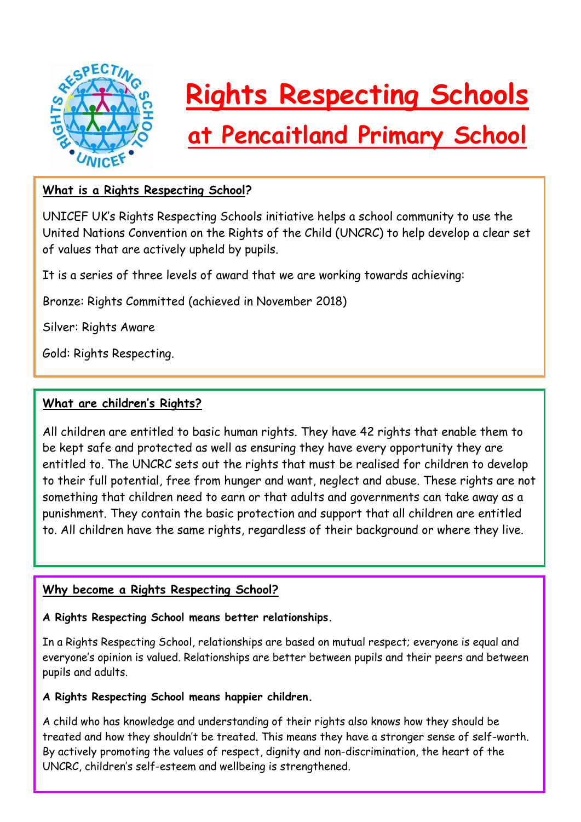

# **Rights Respecting Schools**

# **at Pencaitland Primary School**

# **What is a Rights Respecting School?**

UNICEF UK's Rights Respecting Schools initiative helps a school community to use the United Nations Convention on the Rights of the Child (UNCRC) to help develop a clear set of values that are actively upheld by pupils.

It is a series of three levels of award that we are working towards achieving:

Bronze: Rights Committed (achieved in November 2018)

Silver: Rights Aware

Gold: Rights Respecting.

#### **What are children's Rights?**

All children are entitled to basic human rights. They have 42 rights that enable them to be kept safe and protected as well as ensuring they have every opportunity they are entitled to. The UNCRC sets out the rights that must be realised for children to develop to their full potential, free from hunger and want, neglect and abuse. These rights are not something that children need to earn or that adults and governments can take away as a punishment. They contain the basic protection and support that all children are entitled to. All children have the same rights, regardless of their background or where they live.

#### **Why become a Rights Respecting School?**

#### **A Rights Respecting School means better relationships.**

In a Rights Respecting School, relationships are based on mutual respect; everyone is equal and everyone's opinion is valued. Relationships are better between pupils and their peers and between pupils and adults.

#### **A Rights Respecting School means happier children.**

A child who has knowledge and understanding of their rights also knows how they should be treated and how they shouldn't be treated. This means they have a stronger sense of self-worth. By actively promoting the values of respect, dignity and non-discrimination, the heart of the UNCRC, children's self-esteem and wellbeing is strengthened.